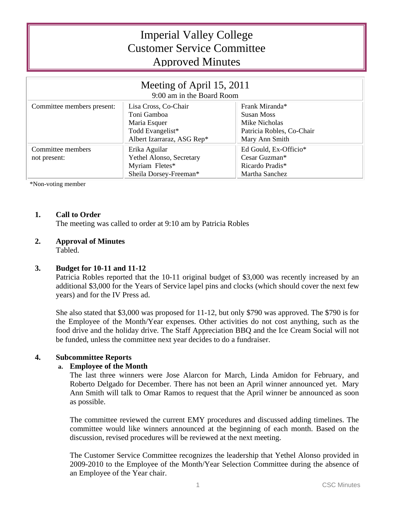# Imperial Valley College Customer Service Committee Approved Minutes

| Meeting of April 15, 2011<br>9:00 am in the Board Room |                            |                           |
|--------------------------------------------------------|----------------------------|---------------------------|
| Committee members present:                             | Lisa Cross, Co-Chair       | Frank Miranda*            |
|                                                        | Toni Gamboa                | <b>Susan Moss</b>         |
|                                                        | Maria Esquer               | Mike Nicholas             |
|                                                        | Todd Evangelist*           | Patricia Robles, Co-Chair |
|                                                        | Albert Izarraraz, ASG Rep* | Mary Ann Smith            |
| Committee members                                      | Erika Aguilar              | Ed Gould, Ex-Officio*     |
| not present:                                           | Yethel Alonso, Secretary   | Cesar Guzman*             |
|                                                        | Myriam Fletes*             | Ricardo Pradis*           |
|                                                        | Sheila Dorsey-Freeman*     | Martha Sanchez            |

\*Non-voting member

## **1. Call to Order**

The meeting was called to order at 9:10 am by Patricia Robles

## **2. Approval of Minutes**

Tabled.

## **3. Budget for 10-11 and 11-12**

Patricia Robles reported that the 10-11 original budget of \$3,000 was recently increased by an additional \$3,000 for the Years of Service lapel pins and clocks (which should cover the next few years) and for the IV Press ad.

She also stated that \$3,000 was proposed for 11-12, but only \$790 was approved. The \$790 is for the Employee of the Month/Year expenses. Other activities do not cost anything, such as the food drive and the holiday drive. The Staff Appreciation BBQ and the Ice Cream Social will not be funded, unless the committee next year decides to do a fundraiser.

## **4. Subcommittee Reports**

## **a. Employee of the Month**

The last three winners were Jose Alarcon for March, Linda Amidon for February, and Roberto Delgado for December. There has not been an April winner announced yet. Mary Ann Smith will talk to Omar Ramos to request that the April winner be announced as soon as possible.

The committee reviewed the current EMY procedures and discussed adding timelines. The committee would like winners announced at the beginning of each month. Based on the discussion, revised procedures will be reviewed at the next meeting.

The Customer Service Committee recognizes the leadership that Yethel Alonso provided in 2009-2010 to the Employee of the Month/Year Selection Committee during the absence of an Employee of the Year chair.